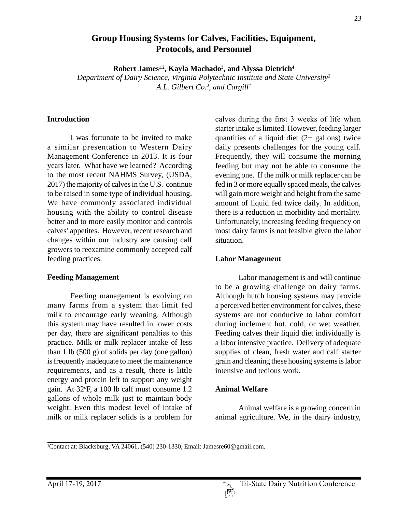## **Group Housing Systems for Calves, Facilities, Equipment, Protocols, and Personnel**

**Robert James1,2, Kayla Machado3 , and Alyssa Dietrich4**

*Department of Dairy Science, Virginia Polytechnic Institute and State University2 A.L. Gilbert Co.3 , and Cargill4*

#### **Introduction**

I was fortunate to be invited to make a similar presentation to Western Dairy Management Conference in 2013. It is four years later. What have we learned? According to the most recent NAHMS Survey, (USDA, 2017) the majority of calves in the U.S. continue to be raised in some type of individual housing. We have commonly associated individual housing with the ability to control disease better and to more easily monitor and controls calves' appetites. However, recent research and changes within our industry are causing calf growers to reexamine commonly accepted calf feeding practices.

### **Feeding Management**

Feeding management is evolving on many farms from a system that limit fed milk to encourage early weaning. Although this system may have resulted in lower costs per day, there are significant penalties to this practice. Milk or milk replacer intake of less than 1 lb (500 g) of solids per day (one gallon) is frequently inadequate to meet the maintenance requirements, and as a result, there is little energy and protein left to support any weight gain. At 32°F, a 100 lb calf must consume 1.2 gallons of whole milk just to maintain body weight. Even this modest level of intake of milk or milk replacer solids is a problem for

calves during the first 3 weeks of life when starter intake is limited. However, feeding larger quantities of a liquid diet  $(2 +$  gallons) twice daily presents challenges for the young calf. Frequently, they will consume the morning feeding but may not be able to consume the evening one. If the milk or milk replacer can be fed in 3 or more equally spaced meals, the calves will gain more weight and height from the same amount of liquid fed twice daily. In addition, there is a reduction in morbidity and mortality. Unfortunately, increasing feeding frequency on most dairy farms is not feasible given the labor situation.

## **Labor Management**

Labor management is and will continue to be a growing challenge on dairy farms. Although hutch housing systems may provide a perceived better environment for calves, these systems are not conducive to labor comfort during inclement hot, cold, or wet weather. Feeding calves their liquid diet individually is a labor intensive practice. Delivery of adequate supplies of clean, fresh water and calf starter grain and cleaning these housing systems is labor intensive and tedious work.

### **Animal Welfare**

Animal welfare is a growing concern in animal agriculture. We, in the dairy industry,

<sup>1</sup> Contact at: Blacksburg, VA 24061, (540) 230-1330, Email: Jamesre60@gmail.com.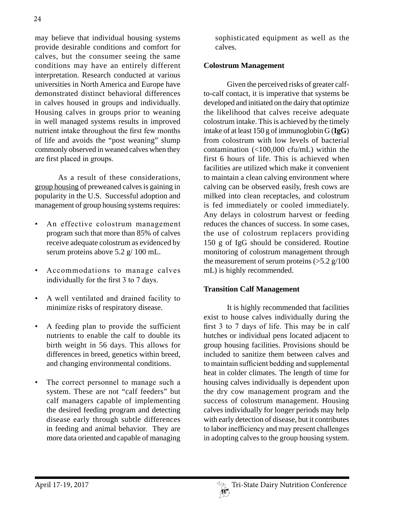may believe that individual housing systems provide desirable conditions and comfort for calves, but the consumer seeing the same conditions may have an entirely different interpretation. Research conducted at various universities in North America and Europe have demonstrated distinct behavioral differences in calves housed in groups and individually. Housing calves in groups prior to weaning in well managed systems results in improved nutrient intake throughout the first few months of life and avoids the "post weaning" slump commonly observed in weaned calves when they are first placed in groups.

As a result of these considerations, group housing of preweaned calves is gaining in popularity in the U.S. Successful adoption and management of group housing systems requires:

- An effective colostrum management program such that more than 85% of calves receive adequate colostrum as evidenced by serum proteins above 5.2 g/ 100 mL.
- Accommodations to manage calves individually for the first 3 to 7 days.
- A well ventilated and drained facility to minimize risks of respiratory disease.
- A feeding plan to provide the sufficient nutrients to enable the calf to double its birth weight in 56 days. This allows for differences in breed, genetics within breed, and changing environmental conditions.
- The correct personnel to manage such a system. These are not "calf feeders" but calf managers capable of implementing the desired feeding program and detecting disease early through subtle differences in feeding and animal behavior. They are more data oriented and capable of managing

sophisticated equipment as well as the calves.

## **Colostrum Management**

Given the perceived risks of greater calfto-calf contact, it is imperative that systems be developed and initiated on the dairy that optimize the likelihood that calves receive adequate colostrum intake. This is achieved by the timely intake of at least 150 g of immunoglobin G (**IgG**) from colostrum with low levels of bacterial contamination (<100,000 cfu/mL) within the first 6 hours of life. This is achieved when facilities are utilized which make it convenient to maintain a clean calving environment where calving can be observed easily, fresh cows are milked into clean receptacles, and colostrum is fed immediately or cooled immediately. Any delays in colostrum harvest or feeding reduces the chances of success. In some cases, the use of colostrum replacers providing 150 g of IgG should be considered. Routine monitoring of colostrum management through the measurement of serum proteins  $(>5.2 \text{ g}/100)$ mL) is highly recommended.

### **Transition Calf Management**

It is highly recommended that facilities exist to house calves individually during the first 3 to 7 days of life. This may be in calf hutches or individual pens located adjacent to group housing facilities. Provisions should be included to sanitize them between calves and to maintain sufficient bedding and supplemental heat in colder climates. The length of time for housing calves individually is dependent upon the dry cow management program and the success of colostrum management. Housing calves individually for longer periods may help with early detection of disease, but it contributes to labor inefficiency and may present challenges in adopting calves to the group housing system.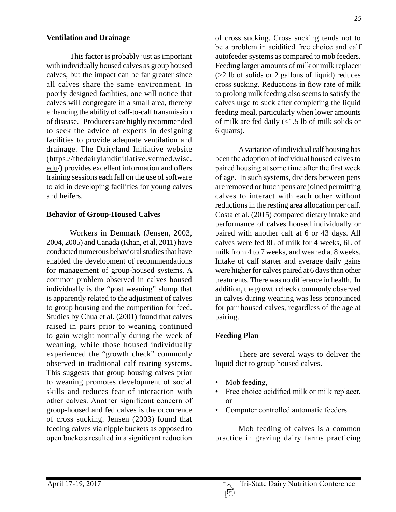### **Ventilation and Drainage**

This factor is probably just as important with individually housed calves as group housed calves, but the impact can be far greater since all calves share the same environment. In poorly designed facilities, one will notice that calves will congregate in a small area, thereby enhancing the ability of calf-to-calf transmission of disease. Producers are highly recommended to seek the advice of experts in designing facilities to provide adequate ventilation and drainage. The Dairyland Initiative website (https://thedairylandinitiative.vetmed.wisc. edu/) provides excellent information and offers training sessions each fall on the use of software to aid in developing facilities for young calves and heifers.

### **Behavior of Group-Housed Calves**

Workers in Denmark (Jensen, 2003, 2004, 2005) and Canada (Khan, et al, 2011) have conducted numerous behavioral studies that have enabled the development of recommendations for management of group-housed systems. A common problem observed in calves housed individually is the "post weaning" slump that is apparently related to the adjustment of calves to group housing and the competition for feed. Studies by Chua et al. (2001) found that calves raised in pairs prior to weaning continued to gain weight normally during the week of weaning, while those housed individually experienced the "growth check" commonly observed in traditional calf rearing systems. This suggests that group housing calves prior to weaning promotes development of social skills and reduces fear of interaction with other calves. Another significant concern of group-housed and fed calves is the occurrence of cross sucking. Jensen (2003) found that feeding calves via nipple buckets as opposed to open buckets resulted in a significant reduction

of cross sucking. Cross sucking tends not to be a problem in acidified free choice and calf autofeeder systems as compared to mob feeders. Feeding larger amounts of milk or milk replacer (>2 lb of solids or 2 gallons of liquid) reduces cross sucking. Reductions in flow rate of milk to prolong milk feeding also seems to satisfy the calves urge to suck after completing the liquid feeding meal, particularly when lower amounts of milk are fed daily (<1.5 lb of milk solids or 6 quarts).

A variation of individual calf housing has been the adoption of individual housed calves to paired housing at some time after the first week of age. In such systems, dividers between pens are removed or hutch pens are joined permitting calves to interact with each other without reductions in the resting area allocation per calf. Costa et al. (2015) compared dietary intake and performance of calves housed individually or paired with another calf at 6 or 43 days. All calves were fed 8L of milk for 4 weeks, 6L of milk from 4 to 7 weeks, and weaned at 8 weeks. Intake of calf starter and average daily gains were higher for calves paired at 6 days than other treatments. There was no difference in health. In addition, the growth check commonly observed in calves during weaning was less pronounced for pair housed calves, regardless of the age at pairing.

# **Feeding Plan**

There are several ways to deliver the liquid diet to group housed calves.

- Mob feeding,
- Free choice acidified milk or milk replacer, or
- Computer controlled automatic feeders

Mob feeding of calves is a common practice in grazing dairy farms practicing

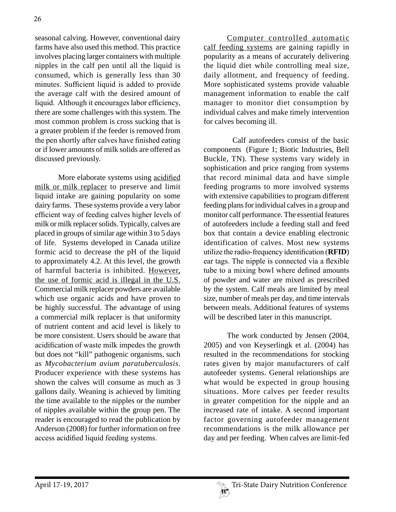seasonal calving. However, conventional dairy farms have also used this method. This practice involves placing larger containers with multiple nipples in the calf pen until all the liquid is consumed, which is generally less than 30 minutes. Sufficient liquid is added to provide the average calf with the desired amount of liquid. Although it encourages labor efficiency, there are some challenges with this system. The most common problem is cross sucking that is a greater problem if the feeder is removed from the pen shortly after calves have finished eating or if lower amounts of milk solids are offered as discussed previously.

More elaborate systems using acidified milk or milk replacer to preserve and limit liquid intake are gaining popularity on some dairy farms. These systems provide a very labor efficient way of feeding calves higher levels of milk or milk replacer solids. Typically, calves are placed in groups of similar age within 3 to 5 days of life. Systems developed in Canada utilize formic acid to decrease the pH of the liquid to approximately 4.2. At this level, the growth of harmful bacteria is inhibited. However, the use of formic acid is illegal in the U.S. Commercial milk replacer powders are available which use organic acids and have proven to be highly successful. The advantage of using a commercial milk replacer is that uniformity of nutrient content and acid level is likely to be more consistent. Users should be aware that acidification of waste milk impedes the growth but does not "kill" pathogenic organisms, such as *Mycobacterium avium paratuberculosis*. Producer experience with these systems has shown the calves will consume as much as 3 gallons daily. Weaning is achieved by limiting the time available to the nipples or the number of nipples available within the group pen. The reader is encouraged to read the publication by Anderson (2008) for further information on free access acidified liquid feeding systems.

Computer controlled automatic calf feeding systems are gaining rapidly in popularity as a means of accurately delivering the liquid diet while controlling meal size, daily allotment, and frequency of feeding. More sophisticated systems provide valuable management information to enable the calf manager to monitor diet consumption by individual calves and make timely intervention for calves becoming ill.

 Calf autofeeders consist of the basic components (Figure 1; Biotic Industries, Bell Buckle, TN). These systems vary widely in sophistication and price ranging from systems that record minimal data and have simple feeding programs to more involved systems with extensive capabilities to program different feeding plans for individual calves in a group and monitor calf performance. The essential features of autofeeders include a feeding stall and feed box that contain a device enabling electronic identification of calves. Most new systems utilize the radio-frequency identification (**RFID**) ear tags. The nipple is connected via a flexible tube to a mixing bowl where defined amounts of powder and water are mixed as prescribed by the system. Calf meals are limited by meal size, number of meals per day, and time intervals between meals. Additional features of systems will be described later in this manuscript.

The work conducted by Jensen (2004, 2005) and von Keyserlingk et al. (2004) has resulted in the recommendations for stocking rates given by major manufacturers of calf autofeeder systems. General relationships are what would be expected in group housing situations. More calves per feeder results in greater competition for the nipple and an increased rate of intake. A second important factor governing autofeeder management recommendations is the milk allowance per day and per feeding. When calves are limit-fed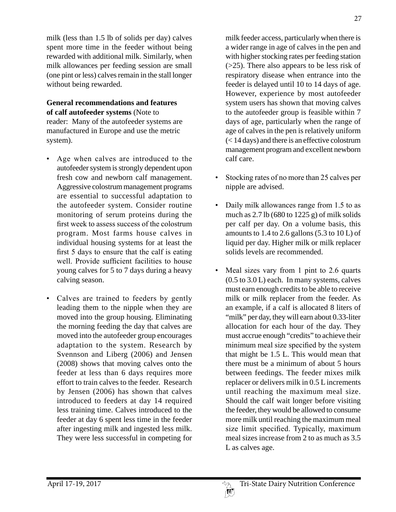milk (less than 1.5 lb of solids per day) calves spent more time in the feeder without being rewarded with additional milk. Similarly, when milk allowances per feeding session are small (one pint or less) calves remain in the stall longer without being rewarded.

## **General recommendations and features of calf autofeeder systems** (Note to reader: Many of the autofeeder systems are manufactured in Europe and use the metric system).

- Age when calves are introduced to the autofeeder system is strongly dependent upon fresh cow and newborn calf management. Aggressive colostrum management programs are essential to successful adaptation to the autofeeder system. Consider routine monitoring of serum proteins during the first week to assess success of the colostrum program. Most farms house calves in individual housing systems for at least the first 5 days to ensure that the calf is eating well. Provide sufficient facilities to house young calves for 5 to 7 days during a heavy calving season.
- Calves are trained to feeders by gently leading them to the nipple when they are moved into the group housing. Eliminating the morning feeding the day that calves are moved into the autofeeder group encourages adaptation to the system. Research by Svennson and Liberg (2006) and Jensen (2008) shows that moving calves onto the feeder at less than 6 days requires more effort to train calves to the feeder. Research by Jensen (2006) has shown that calves introduced to feeders at day 14 required less training time. Calves introduced to the feeder at day 6 spent less time in the feeder after ingesting milk and ingested less milk. They were less successful in competing for

milk feeder access, particularly when there is a wider range in age of calves in the pen and with higher stocking rates per feeding station (>25). There also appears to be less risk of respiratory disease when entrance into the feeder is delayed until 10 to 14 days of age. However, experience by most autofeeder system users has shown that moving calves to the autofeeder group is feasible within 7 days of age, particularly when the range of age of calves in the pen is relatively uniform (< 14 days) and there is an effective colostrum management program and excellent newborn calf care.

- Stocking rates of no more than 25 calves per nipple are advised.
- Daily milk allowances range from 1.5 to as much as 2.7 lb (680 to 1225 g) of milk solids per calf per day. On a volume basis, this amounts to  $1.4$  to  $2.6$  gallons  $(5.3 \text{ to } 10 \text{ L})$  of liquid per day. Higher milk or milk replacer solids levels are recommended.
- Meal sizes vary from 1 pint to 2.6 quarts (0.5 to 3.0 L) each. In many systems, calves must earn enough credits to be able to receive milk or milk replacer from the feeder. As an example, if a calf is allocated 8 liters of "milk" per day, they will earn about 0.33-liter allocation for each hour of the day. They must accrue enough "credits" to achieve their minimum meal size specified by the system that might be 1.5 L. This would mean that there must be a minimum of about 5 hours between feedings. The feeder mixes milk replacer or delivers milk in 0.5 L increments until reaching the maximum meal size. Should the calf wait longer before visiting the feeder, they would be allowed to consume more milk until reaching the maximum meal size limit specified. Typically, maximum meal sizes increase from 2 to as much as 3.5 L as calves age.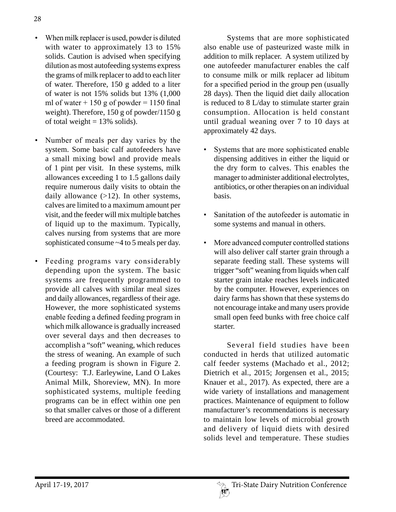- When milk replacer is used, powder is diluted with water to approximately 13 to 15% solids. Caution is advised when specifying dilution as most autofeeding systems express the grams of milk replacer to add to each liter of water. Therefore, 150 g added to a liter of water is not 15% solids but 13% (1,000 ml of water  $+ 150$  g of powder  $= 1150$  final weight). Therefore, 150 g of powder/1150 g of total weight  $= 13\%$  solids).
- Number of meals per day varies by the system. Some basic calf autofeeders have a small mixing bowl and provide meals of 1 pint per visit. In these systems, milk allowances exceeding 1 to 1.5 gallons daily require numerous daily visits to obtain the daily allowance  $(>12)$ . In other systems, calves are limited to a maximum amount per visit, and the feeder will mix multiple batches of liquid up to the maximum. Typically, calves nursing from systems that are more sophisticated consume ~4 to 5 meals per day.
- Feeding programs vary considerably depending upon the system. The basic systems are frequently programmed to provide all calves with similar meal sizes and daily allowances, regardless of their age. However, the more sophisticated systems enable feeding a defined feeding program in which milk allowance is gradually increased over several days and then decreases to accomplish a "soft" weaning, which reduces the stress of weaning. An example of such a feeding program is shown in Figure 2. (Courtesy: T.J. Earleywine, Land O Lakes Animal Milk, Shoreview, MN). In more sophisticated systems, multiple feeding programs can be in effect within one pen so that smaller calves or those of a different breed are accommodated.

Systems that are more sophisticated also enable use of pasteurized waste milk in addition to milk replacer. A system utilized by one autofeeder manufacturer enables the calf to consume milk or milk replacer ad libitum for a specified period in the group pen (usually 28 days). Then the liquid diet daily allocation is reduced to 8 L/day to stimulate starter grain consumption. Allocation is held constant until gradual weaning over 7 to 10 days at approximately 42 days.

- Systems that are more sophisticated enable dispensing additives in either the liquid or the dry form to calves. This enables the manager to administer additional electrolytes, antibiotics, or other therapies on an individual basis.
- Sanitation of the autofeeder is automatic in some systems and manual in others.
- More advanced computer controlled stations will also deliver calf starter grain through a separate feeding stall. These systems will trigger "soft" weaning from liquids when calf starter grain intake reaches levels indicated by the computer. However, experiences on dairy farms has shown that these systems do not encourage intake and many users provide small open feed bunks with free choice calf starter.

Several field studies have been conducted in herds that utilized automatic calf feeder systems (Machado et al., 2012; Dietrich et al., 2015; Jorgensen et al., 2015; Knauer et al., 2017). As expected, there are a wide variety of installations and management practices. Maintenance of equipment to follow manufacturer's recommendations is necessary to maintain low levels of microbial growth and delivery of liquid diets with desired solids level and temperature. These studies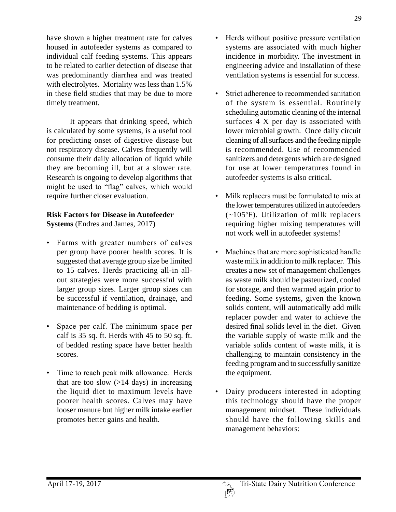have shown a higher treatment rate for calves housed in autofeeder systems as compared to individual calf feeding systems. This appears to be related to earlier detection of disease that was predominantly diarrhea and was treated with electrolytes. Mortality was less than 1.5% in these field studies that may be due to more timely treatment.

It appears that drinking speed, which is calculated by some systems, is a useful tool for predicting onset of digestive disease but not respiratory disease. Calves frequently will consume their daily allocation of liquid while they are becoming ill, but at a slower rate. Research is ongoing to develop algorithms that might be used to "flag" calves, which would require further closer evaluation.

# **Risk Factors for Disease in Autofeeder**

**Systems** (Endres and James, 2017)

- Farms with greater numbers of calves per group have poorer health scores. It is suggested that average group size be limited to 15 calves. Herds practicing all-in allout strategies were more successful with larger group sizes. Larger group sizes can be successful if ventilation, drainage, and maintenance of bedding is optimal.
- Space per calf. The minimum space per calf is 35 sq. ft. Herds with 45 to 50 sq. ft. of bedded resting space have better health scores.
- Time to reach peak milk allowance. Herds that are too slow  $(>=14$  days) in increasing the liquid diet to maximum levels have poorer health scores. Calves may have looser manure but higher milk intake earlier promotes better gains and health.
- Herds without positive pressure ventilation systems are associated with much higher incidence in morbidity. The investment in engineering advice and installation of these ventilation systems is essential for success.
- Strict adherence to recommended sanitation of the system is essential. Routinely scheduling automatic cleaning of the internal surfaces 4 X per day is associated with lower microbial growth. Once daily circuit cleaning of all surfaces and the feeding nipple is recommended. Use of recommended sanitizers and detergents which are designed for use at lower temperatures found in autofeeder systems is also critical.
- Milk replacers must be formulated to mix at the lower temperatures utilized in autofeeders (~105°F). Utilization of milk replacers requiring higher mixing temperatures will not work well in autofeeder systems!
- Machines that are more sophisticated handle waste milk in addition to milk replacer. This creates a new set of management challenges as waste milk should be pasteurized, cooled for storage, and then warmed again prior to feeding. Some systems, given the known solids content, will automatically add milk replacer powder and water to achieve the desired final solids level in the diet. Given the variable supply of waste milk and the variable solids content of waste milk, it is challenging to maintain consistency in the feeding program and to successfully sanitize the equipment.
- Dairy producers interested in adopting this technology should have the proper management mindset. These individuals should have the following skills and management behaviors: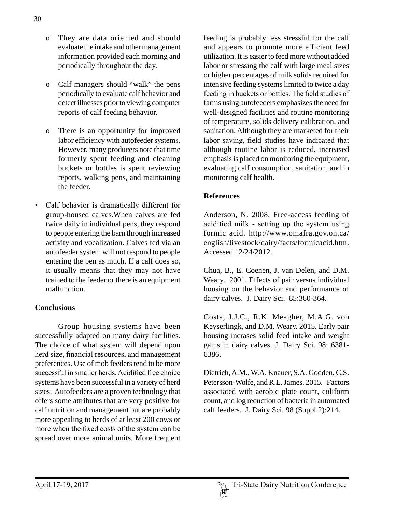- o They are data oriented and should evaluate the intake and other management information provided each morning and periodically throughout the day.
- o Calf managers should "walk" the pens periodically to evaluate calf behavior and detect illnesses prior to viewing computer reports of calf feeding behavior.
- o There is an opportunity for improved labor efficiency with autofeeder systems. However, many producers note that time formerly spent feeding and cleaning buckets or bottles is spent reviewing reports, walking pens, and maintaining the feeder.
- Calf behavior is dramatically different for group-housed calves.When calves are fed twice daily in individual pens, they respond to people entering the barn through increased activity and vocalization. Calves fed via an autofeeder system will not respond to people entering the pen as much. If a calf does so, it usually means that they may not have trained to the feeder or there is an equipment malfunction.

## **Conclusions**

Group housing systems have been successfully adapted on many dairy facilities. The choice of what system will depend upon herd size, financial resources, and management preferences. Use of mob feeders tend to be more successful in smaller herds. Acidified free choice systems have been successful in a variety of herd sizes. Autofeeders are a proven technology that offers some attributes that are very positive for calf nutrition and management but are probably more appealing to herds of at least 200 cows or more when the fixed costs of the system can be spread over more animal units. More frequent feeding is probably less stressful for the calf and appears to promote more efficient feed utilization. It is easier to feed more without added labor or stressing the calf with large meal sizes or higher percentages of milk solids required for intensive feeding systems limited to twice a day feeding in buckets or bottles. The field studies of farms using autofeeders emphasizes the need for well-designed facilities and routine monitoring of temperature, solids delivery calibration, and sanitation. Although they are marketed for their labor saving, field studies have indicated that although routine labor is reduced, increased emphasis is placed on monitoring the equipment, evaluating calf consumption, sanitation, and in monitoring calf health.

### **References**

Anderson, N. 2008. Free-access feeding of acidified milk - setting up the system using formic acid. http://www.omafra.gov.on.ca/ english/livestock/dairy/facts/formicacid.htm. Accessed 12/24/2012.

Chua, B., E. Coenen, J. van Delen, and D.M. Weary. 2001. Effects of pair versus individual housing on the behavior and performance of dairy calves. J. Dairy Sci. 85:360-364.

Costa, J.J.C., R.K. Meagher, M.A.G. von Keyserlingk, and D.M. Weary. 2015. Early pair housing incrases solid feed intake and weight gains in dairy calves. J. Dairy Sci. 98: 6381- 6386.

Dietrich, A.M., W.A. Knauer, S.A. Godden, C.S. Petersson-Wolfe, and R.E. James. 2015. Factors associated with aerobic plate count, coliform count, and log reduction of bacteria in automated calf feeders. J. Dairy Sci. 98 (Suppl.2):214.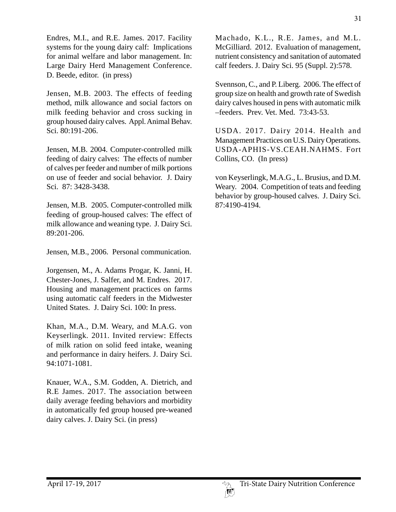Endres, M.I., and R.E. James. 2017. Facility systems for the young dairy calf: Implications for animal welfare and labor management. In: Large Dairy Herd Management Conference. D. Beede, editor. (in press)

Jensen, M.B. 2003. The effects of feeding method, milk allowance and social factors on milk feeding behavior and cross sucking in group housed dairy calves. Appl. Animal Behav. Sci. 80:191-206.

Jensen, M.B. 2004. Computer-controlled milk feeding of dairy calves: The effects of number of calves per feeder and number of milk portions on use of feeder and social behavior. J. Dairy Sci. 87: 3428-3438.

Jensen, M.B. 2005. Computer-controlled milk feeding of group-housed calves: The effect of milk allowance and weaning type. J. Dairy Sci. 89:201-206.

Jensen, M.B., 2006. Personal communication.

Jorgensen, M., A. Adams Progar, K. Janni, H. Chester-Jones, J. Salfer, and M. Endres. 2017. Housing and management practices on farms using automatic calf feeders in the Midwester United States. J. Dairy Sci. 100: In press.

Khan, M.A., D.M. Weary, and M.A.G. von Keyserlingk. 2011. Invited rerview: Effects of milk ration on solid feed intake, weaning and performance in dairy heifers. J. Dairy Sci. 94:1071-1081.

Knauer, W.A., S.M. Godden, A. Dietrich, and R.E James. 2017. The association between daily average feeding behaviors and morbidity in automatically fed group housed pre-weaned dairy calves. J. Dairy Sci. (in press)

Machado, K.L., R.E. James, and M.L. McGilliard. 2012. Evaluation of management, nutrient consistency and sanitation of automated calf feeders. J. Dairy Sci. 95 (Suppl. 2):578.

Svennson, C., and P. Liberg. 2006. The effect of group size on health and growth rate of Swedish dairy calves housed in pens with automatic milk –feeders. Prev. Vet. Med. 73:43-53.

USDA. 2017. Dairy 2014. Health and Management Practices on U.S. Dairy Operations. USDA-APHIS-VS.CEAH.NAHMS. Fort Collins, CO. (In press)

von Keyserlingk, M.A.G., L. Brusius, and D.M. Weary. 2004. Competition of teats and feeding behavior by group-housed calves. J. Dairy Sci. 87:4190-4194.